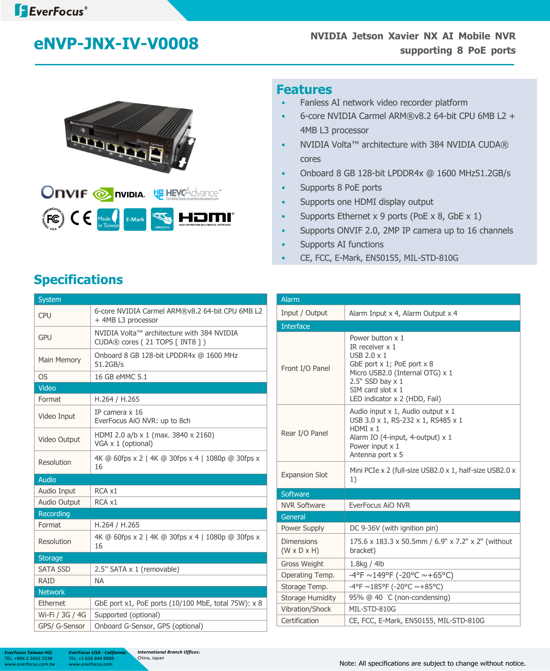

#### **Features**

- Fanless AI network video recorder platform
- 6-core NVIDIA Carmel ARM® v8.2 64-bit CPU 6MB L2 + 4MB L3 processor
- NVIDIA Volta™ architecture with 384 NVIDIA CUDA® cores
- Onboard 8 GB 128-bit LPDDR4x @ 1600 MHz51.2GB/s
- Supports 8 PoE ports
- Supports one HDMI display output
- Supports Ethernet x 9 ports (PoE  $\times$  8, GbE  $\times$  1)
- Supports ONVIF 2.0, 2MP IP camera up to 16 channels
- Supports AI functions
- CE, FCC, E-Mark, EN50155, MIL-STD-810G

# **Specifications**

| <b>System</b>   |                                                                              |
|-----------------|------------------------------------------------------------------------------|
| <b>CPU</b>      | 6-core NVIDIA Carmel ARM®v8.2 64-bit CPU 6MB L2<br>+ 4MB L3 processor        |
| <b>GPU</b>      | NVIDIA Volta™ architecture with 384 NVIDIA<br>CUDA® cores (21 TOPS [ INT8 ]) |
| Main Memory     | Onboard 8 GB 128-bit LPDDR4x @ 1600 MHz<br>51.2GB/s                          |
| <b>OS</b>       | 16 GB eMMC 5.1                                                               |
| <b>Video</b>    |                                                                              |
| Format          | H.264 / H.265                                                                |
| Video Input     | IP camera x 16<br>EverFocus AiO NVR: up to 8ch                               |
| Video Output    | HDMI 2.0 a/b x 1 (max. 3840 x 2160)<br>VGA x 1 (optional)                    |
| Resolution      | 4K @ 60fps x 2   4K @ 30fps x 4   1080p @ 30fps x<br>16                      |
| <b>Audio</b>    |                                                                              |
| Audio Input     | RCA x1                                                                       |
| Audio Output    | RCA x1                                                                       |
| Recording       |                                                                              |
| Format          | H.264 / H.265                                                                |
| Resolution      | 4K @ 60fps x 2   4K @ 30fps x 4   1080p @ 30fps x<br>16                      |
| <b>Storage</b>  |                                                                              |
| <b>SATA SSD</b> | 2.5" SATA x 1 (removable)                                                    |
| <b>RAID</b>     | <b>NA</b>                                                                    |
| <b>Network</b>  |                                                                              |
| Ethernet        | GbE port x1, PoE ports (10/100 MbE, total 75W): x 8                          |
| Wi-Fi / 3G / 4G | Supported (optional)                                                         |
| GPS/ G-Sensor   | Onboard G-Sensor, GPS (optional)                                             |

| <b>Alarm</b>                                 |                                                                                                                                                                                                                   |  |
|----------------------------------------------|-------------------------------------------------------------------------------------------------------------------------------------------------------------------------------------------------------------------|--|
| Input / Output                               | Alarm Input x 4, Alarm Output x 4                                                                                                                                                                                 |  |
| <b>Interface</b>                             |                                                                                                                                                                                                                   |  |
| Front I/O Panel                              | Power button x 1<br>IR receiver x 1<br>USB $2.0 \times 1$<br>GbE port x 1; PoE port x 8<br>Micro USB2.0 (Internal OTG) x 1<br>$2.5"$ SSD bay $\times$ 1<br>$SIM$ card slot $x$ 1<br>LED indicator x 2 (HDD, Fail) |  |
| Rear I/O Panel                               | Audio input x 1, Audio output x 1<br>USB 3.0 x 1, RS-232 x 1, RS485 x 1<br>HDMI x 1<br>Alarm IO (4-input, 4-output) x 1<br>Power input x 1<br>Antenna port x 5                                                    |  |
| <b>Expansion Slot</b>                        | Mini PCIe x 2 (full-size USB2.0 x 1, half-size USB2.0 x<br>1)                                                                                                                                                     |  |
| Software                                     |                                                                                                                                                                                                                   |  |
| <b>NVR Software</b>                          | EverFocus AIO NVR                                                                                                                                                                                                 |  |
| General                                      |                                                                                                                                                                                                                   |  |
| Power Supply                                 | DC 9-36V (with ignition pin)                                                                                                                                                                                      |  |
| <b>Dimensions</b><br>$(W \times D \times H)$ | 175.6 x 183.3 x 50.5mm / 6.9" x 7.2" x 2" (without<br>bracket)                                                                                                                                                    |  |
| <b>Gross Weight</b>                          | 1.8kg / 4lb                                                                                                                                                                                                       |  |
| Operating Temp.                              | $-4$ °F ~149°F (-20°C ~+65°C)                                                                                                                                                                                     |  |
| Storage Temp.                                | -4°F ~185°F (-20°C ~+85°C)                                                                                                                                                                                        |  |
| Storage Humidity                             | 95% @ 40 °C (non-condensing)                                                                                                                                                                                      |  |
| Vibration/Shock                              | MIL-STD-810G                                                                                                                                                                                                      |  |
| Certification                                | CE, FCC, E-Mark, EN50155, MIL-STD-810G                                                                                                                                                                            |  |

*EverFocus Taiwan HQ:* TEL: +886 2 2662 2338

TEL: +1 626 844 8888 www.everfocus.com